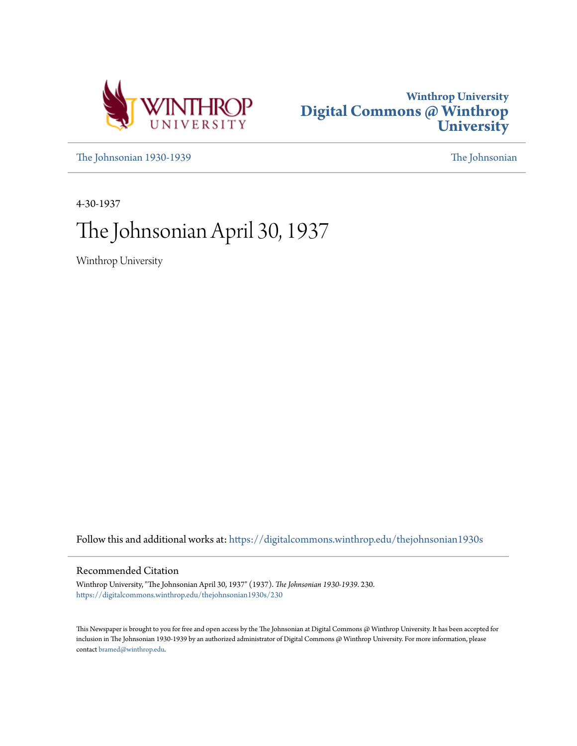



[The Johnsonian 1930-1939](https://digitalcommons.winthrop.edu/thejohnsonian1930s?utm_source=digitalcommons.winthrop.edu%2Fthejohnsonian1930s%2F230&utm_medium=PDF&utm_campaign=PDFCoverPages) [The Johnsonian](https://digitalcommons.winthrop.edu/thejohnsonian_newspaper?utm_source=digitalcommons.winthrop.edu%2Fthejohnsonian1930s%2F230&utm_medium=PDF&utm_campaign=PDFCoverPages)

4-30-1937

# The Johnsonian April 30, 1937

Winthrop University

Follow this and additional works at: [https://digitalcommons.winthrop.edu/thejohnsonian1930s](https://digitalcommons.winthrop.edu/thejohnsonian1930s?utm_source=digitalcommons.winthrop.edu%2Fthejohnsonian1930s%2F230&utm_medium=PDF&utm_campaign=PDFCoverPages)

# Recommended Citation

Winthrop University, "The Johnsonian April 30, 1937" (1937). *The Johnsonian 1930-1939*. 230. [https://digitalcommons.winthrop.edu/thejohnsonian1930s/230](https://digitalcommons.winthrop.edu/thejohnsonian1930s/230?utm_source=digitalcommons.winthrop.edu%2Fthejohnsonian1930s%2F230&utm_medium=PDF&utm_campaign=PDFCoverPages)

This Newspaper is brought to you for free and open access by the The Johnsonian at Digital Commons @ Winthrop University. It has been accepted for inclusion in The Johnsonian 1930-1939 by an authorized administrator of Digital Commons @ Winthrop University. For more information, please contact [bramed@winthrop.edu](mailto:bramed@winthrop.edu).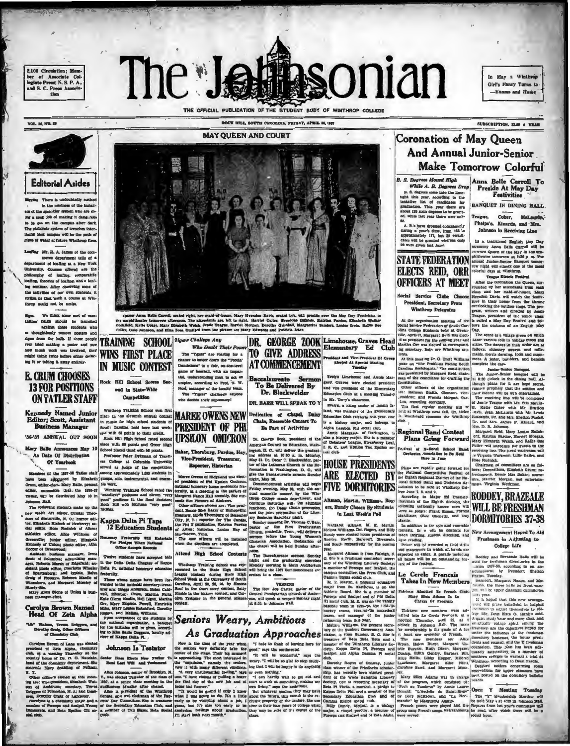2.100 Circulation: Mer er of Associate  $C_{\rm pl}$ Test, N. S. P. A d S. C. Press Ass



VOL. 14, NO. 88

BOCK HILL, SOUTH CAROLINA, FRIDAY, APRIL 36, 1837



re is undoubtedly n

in the madness of the installrs of the sprinkler system who are do<br>ng a swell job of making it dang-rou out on the campus after dark

has un un campus avec unra:<br>borate system of trenches inter-<br>eck campus will be the path of<br>water at future Winthrop fires. g Mr. R. A. James of the c

merce department tells of a artenent of loafing at a New York<br>twently. Courses offered are the comparative description of bading, comparative<br>fing, theories of bading, and a loaf-<br>seminar. After observing some of<br>activities of our own stadents, it ne that 's sch a course at Wi would not be am

We think some sort of cam-<br>paign should be launched<br>against those students who

agames those stincents who set the change in a strong profiler and strong to the halls. If these people<br>ever tried making a poster and saw<br>how much work was involved, they might think twice before either detac-<br>might think it or taking it away entirely.

# **E. CRUM CHOOSES 13 FOR POSITIONS ON TATLER STAFF**

### **Kennedy Named Junior** Editor; Scott, Assistant **Business Manager**

'36-'37 ANNIJAL OUT SOON

Mary Balle Announces May 10

Date Of Distribution Of Yearbook

served as Asigs of the competition between the series of the competition<br>have been applicied by Elizabeth groups, solo, instrumental, and crosses in<br>a series applicable property be work. <br> Orman, editor, announces that th



na Belle Carrell, seated right, her maid-of-honor, Mary Herndon Davis, seated left, will preside over the May Day Festivities in<br>Arc tempore afternoon, The altendants are, left to right, Harriet Culler. Herndone Dubrew, Ka Cockfield, Katle Coker, Ma

Tigers Challege Any **TRAINING SCHOOL** Who Doubt Their Pou Who Doubly Thermoreover resources<br>The Theory and the Touch of the channel to halfer down the "Touchi"<br>game of hasehed, with an imparement of the filtric street paint<br>game of hasehed, with an imparement is clear as to see **WINS FIRST PLACE** IN MUSIC CONTEST

Rock Hill School Scores Sec ond In State-Wide

Competition

Winthrep Training School

Winterspreading cobool won first, place in the eleventh annual contain<br>in mission of probability in mission from the control carrier and in<br>the control and the control of South Carrier and with a point is control in<br>the c **MAREE OWENS NEW PRESIDENT OF PHI UPSILON OMICRON** 

Baker, Thornburg, Pardue, Hay Vice-President, Treasurer, Reporter, Historian

re Owens of Ridgeland was elec-

Marre Owens of Ridgeland was elect. diffe the Biocalaurete sermon filled<br>at peaking the animalism and the Biocalaurete sermon filled<br>at peaking of the Biocalaurete sermon filled by the animal honorary home exements framed

DR. GEORGE ZOOK Limehouse, Graves Head **TO GIVE ADDRESS** dent and Vice-Pres **AT COMMENCEMENT** ried At Special 31 Evelyn Limehouse and Annie Mar

accalaureate Serme<br>To Be Delivered By<br>Dr. Blackwelder DR. RARR WILL SPRAK TO Y

Dedication of Chapel, Datey Chain, Ensemble Concart To Be Part of Activities

Fig. 12. The contract of the American Council of the American Council of the graduations, Washing 31. Dr., orient of the graduations of the state of the Lublance of the Lublance of the Multiman Church (or the Since of the

In May a Winthrop Girl's Fancy Turns to -Exams and Home

SUBSCRIPTION, SLOP A YEAR

# **Coronation of May Queen And Annual Junior-Senior** Make Tomorrow Colorful

Anna Belle Carroll To<br>Preside At May Day<br>Festivities **B. S. Degrees Mount High** A congresse recent ringh in the property of the lines of the lines in the lines in the lines in the lines are considered to the production. This year, there is no conceled to the gradient of the model in the set of the mo

A. B.'s have dropped considerably

A. D. s marr uroppen commonweal of approximately 117, but 32 certificates will be granted whereas only 20 were given last June.



Social Service Clube Cho **President, Sacretary From** Winthrop Delegates

 $et$  Of  $Q$ 

garet Graves were elected president and vice president of the Elementary<br>Statestion Club at a meeting Tuesday<br>in Mr. Terry's charactors.<br>Terelyn, a rising senior of John's Is-<br>Terelyn, a rising senior of John's Is-<br>iand, w

BANQUET IN DINING HALL Teague, Coker, McLaurin, Phelps's, Kinards, and Mrs.<br>Johnson in Receiving Line

Figure 3.1 and 12 and 2011 and 2011 and 2011 and 2011 and 2012 and 2012 and 2013 and 2013 and 2013 and 2013 and 2013 and 2013 and 2013 and 2013 and 2013 and 2013 and 2013 and 2013 and 2013 and 2013 and 2013 and 2013 and 20

At the organization meeting of the 1s called a May Dey Pentiest class.<br>At the capacity contribution of South Car-<br>
lows the customs of an English May<br>
Jim College Stockers held at Orent-Disp.<br>
Jim College Stockers (at a c

and disappearing the same are the control. The second is allowed the presence in the simulation of was been the corresponded attice. The disappearing the corresponded attice, the simulation of the second in the correspond

and was bunning of the Elementary and at Wintbrop neut fail or, Helen Nets, Jean McLucins with Mr. Lewis (1986)<br>
Manusch China (1986)<br>
Manusch China (1986)<br>
Manusch China (1986)<br>
Manusch China (1986)<br>
Manusch China (1986)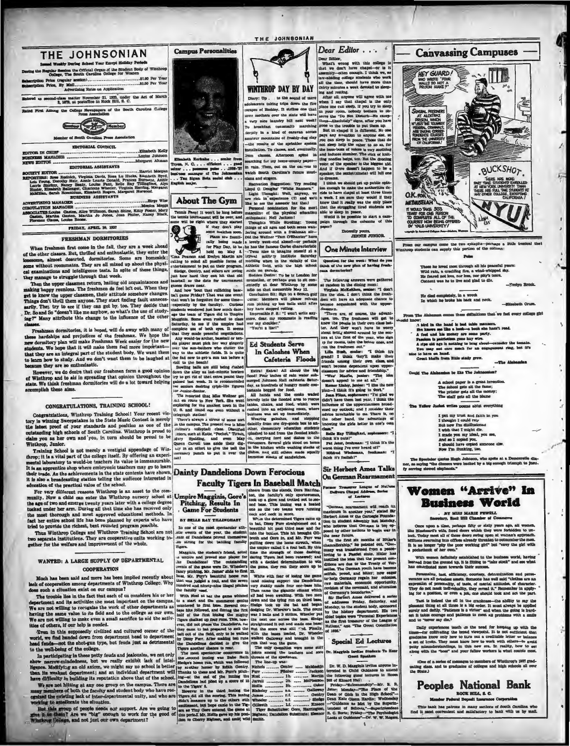

### FRESHMAN DORMITORIES

When freahmen first come in the fall, they are a week shead of the other classes. But, thrilled and enthusiastic, they enter the lonesome, almost deserted, dormitories. Some are homesticity some without roommatics. They ar

cal examinations and intelligence tests. In spite of these things, and the property of the content of the content in the content of the content of the content of the state of the state of the content of the content of the

same they are no enthusiastic. The base of the search and the same in Europe and the same of the search of the However, we do desire that our freehomen form a good opinion throughout the try to get rid of the texts pound of Wl state. We tl

### CONGRATULATIONS, TRAINING SCHOOL!

Congratulations, Winthrop Training School! Your recent victory in whming Sweepstakes in the State Music Context is merely the latest proof of your standards and position as one of the outstanding high schools of South Caro

Winthrop, Junior.<br>
Training School is not merely a vestigial appendage of Win-<br>
Training School is not merely a vestigial appendage of Win-<br>
throp; it is a vital part of the college itself. By offering an experiment<br>
ment



**Ab** 

# **Dainty Dandelions Down Ferocious**

Dear Editor . . . . .

Lear miller, we<br>can with this college with the college with two don't have chaps<br>i-or is last well and the set of the set of the set of<br>set all the time, should have more that the set of the<br>set of the set of the college

Sir Herbert Ames Talks On German Rearman

| their trade. As the achievements in the state contests have shown. Dainty Dandelions Down Ferocious<br>it is also a broadcasting station telling the audience interested in<br>education of the practical value of the school.<br>For very different reasons Winthrop is an asset to the com-<br>munity. Now a child can enter tha Winthrop nursery school at Umpire Magginia, Gore's<br>the age of two and emerge twenty years later with a college degree<br>tucked under her arm. During all that time she has received only<br>the most thorough and most approved educational methods. In<br>fact her entire school life has been planned by experts who have<br>tried to provide the richest, best rounded program possible.<br>Thus Winthrop College and Winthrop Training School are not<br>two separate institutions. They are cooperative units working to-<br>gether for the welfare and improvement of the whole.<br>WANTED: A LARGE SUPPLY OF DEPARTMENTAL<br><b>COOPERATION</b><br>Much has been said and more has been implied recently about hase. Mr. Furr's beautiful home run<br>inck of cooperation among departments of Winthrop College. Why<br>does such a cituation exist on our campus?<br>The trouble lies in the fact that each of us considers his or her<br>department and its activities the most important on the campus.<br>We are not willing to recognize the work of other departments as<br>having the same value to its field and to the college as our own.<br>We are not willing to make even a small sacrifice to aid the activ-<br>ities of others, if our help is needed.<br>Tren in this supposedly civilized and cultured corner of the | <b>Faculty Tigers In Baseball Match</b><br>cheers from the stands, Dora Harring-<br>ton, the faculty's only sportswoman,<br>took up a glove and trotted out to sec-<br>Pitching, Results In<br>ond base. This inning was a beated<br><b>Game For Students</b><br>one as the two teams were running<br>neck and neck in score.<br>Whim the determined Tigers came up<br>BY BELLE RAY TILLINGHAST<br>to bat, Dinny Furr straightened out a<br>In one of the most spectacular ath-<br>beautiful hit past third base and far<br>.elic events of the year, the student<br>into the butises. This hit brought O'll-<br>ease of Dandelions proved themselves<br>breth and Gore in, and Mr. Purr was<br>.co strong for the battling faculty<br>puffing down the home stretch, when<br><b>Tigers.</b><br>the umpire called it a foul ball. By this<br>time the strength of those dashing.<br>Magginia, the student's friend, acted<br>daring Tigers had been renewed; and<br>a umbire and proved star player for<br>he Dandelions! The outstanding<br>with a decided determination to win<br>the game, they ran their score up to<br>swents of the game were Dr. Wheeler's<br>fancy pitching, Mr. James' 45ds to first 22.<br>White with fear of losing the game<br>(and missing supper) the Dendellons<br>that was judged a foul, and the seven<br>hundred and hinety-nine illegal pitches very shakily made four one-base hits.<br>Then came the gigantic climax which<br>the faculty used.<br>ail had been awaiting. With two men<br>With Noel at haz the game whisted<br>down and the tying run on third base.<br>to a start and the commerce genius<br>filedge took up the bat and began<br>sauntered to first hase. Several one-<br>base hits followed, and during the first dodging Dr. Wheeler's balls. The count<br>was 3 halls and 3 strikes. Wheeler put<br>half of the first imaing the mighty<br>the next one across the base. Sledge<br>ligers chalked up four runs. This, how-<br>ever, did not phase the Dandellons, for straightened it out and made one base<br>they came to bat prepared to suck the But the score was still ">d. Finally,<br>with the bases loaded, Dr. Wheeler<br>ball out of the field, only to be walked | <b>SIF FIGHDUST ALERS I GUNS</b><br>On German Rearmament<br>Former Treasurer League of Nations<br>Delivers Chapel Address, Series<br>of Lactures<br>"German rearmament will reach its<br>maximum in another year," stated Sir<br>Herbert Ames of the Carnegis Founda-<br>tion in student assembly last Monday,<br>who believes that German is too op-<br>posed by other nations to begin war in<br>the mear future.<br>"In the first six months of Hitler's<br>chancellorship," he pointed out, "Ger-<br>many was transformed from a peace-<br>loving to a Fascist state. Hitler has<br>instilled the idea that the present con-<br>ditions are due to the Treaty of Ver-<br>sailles. The German youth have become<br>selfish, proud, and bitter; now eager<br>to help Germany regain her colonies,<br>raw materials, economic opportunity,<br>revision of the covenant, and alteration<br>of Germany's boundaries."<br><b>Sir Herbert Ames delivered a series</b><br>of addresses Friday, Saturday, and<br>Monday, to the student body, sponsored<br>by the history department. His two<br>chief topics were "Personal Experiences<br>as the first treasurer of the League of<br>Nations," and "The Oreat Conciliation<br>of 1926." |
|-------------------------------------------------------------------------------------------------------------------------------------------------------------------------------------------------------------------------------------------------------------------------------------------------------------------------------------------------------------------------------------------------------------------------------------------------------------------------------------------------------------------------------------------------------------------------------------------------------------------------------------------------------------------------------------------------------------------------------------------------------------------------------------------------------------------------------------------------------------------------------------------------------------------------------------------------------------------------------------------------------------------------------------------------------------------------------------------------------------------------------------------------------------------------------------------------------------------------------------------------------------------------------------------------------------------------------------------------------------------------------------------------------------------------------------------------------------------------------------------------------------------------------------------------------------------------------------------------------------------------------------------------------------------------------------|----------------------------------------------------------------------------------------------------------------------------------------------------------------------------------------------------------------------------------------------------------------------------------------------------------------------------------------------------------------------------------------------------------------------------------------------------------------------------------------------------------------------------------------------------------------------------------------------------------------------------------------------------------------------------------------------------------------------------------------------------------------------------------------------------------------------------------------------------------------------------------------------------------------------------------------------------------------------------------------------------------------------------------------------------------------------------------------------------------------------------------------------------------------------------------------------------------------------------------------------------------------------------------------------------------------------------------------------------------------------------------------------------------------------------------------------------------------------------------------------------------------------------------------------------------------------------------------------------------------------------------------------------------------------------------------------------------------------------------------------------------------------------------------------------------------------------------------------------------------------------------------------------------------------------------------------------------------------------------------------------------------------------------------------------------------------------------------------------------------------------------------------------------------------------------------------------------------------------------------|--------------------------------------------------------------------------------------------------------------------------------------------------------------------------------------------------------------------------------------------------------------------------------------------------------------------------------------------------------------------------------------------------------------------------------------------------------------------------------------------------------------------------------------------------------------------------------------------------------------------------------------------------------------------------------------------------------------------------------------------------------------------------------------------------------------------------------------------------------------------------------------------------------------------------------------------------------------------------------------------------------------------------------------------------------------------------------------------------------------------------------------------------------------------------------------------------------------------------------------|
| world, we find handed down from department head to department<br>head fends-not the shot-gun type, but feuds just as detrimental<br>to the well-being of the college.<br>In participating in these petty feuds and jealousies, we not only<br>show narrow-mindedness, but we really exhibit lack of intel-<br>ligence. Modifying an old axiom, we might say no school is better juy systher homer by Edith Gentry.<br>than its weakest department; and an individual department will                                                                                                                                                                                                                                                                                                                                                                                                                                                                                                                                                                                                                                                                                                                                                                                                                                                                                                                                                                                                                                                                                                                                                                                                | walked Galloway and brought in the<br>by Dizzy Purr. After making too rune<br>the Dandellous decided to give the run that won the game.<br>The only casualties were some stiff<br>Tierrs another chance to roar.<br>The most speciacular occurrence in joints among the teachers and sore Dr. Magginis invites Students To Hear<br>the .second inning was Babe Ruth threats of the specialors.<br>The line-up was:<br>Siedge's home run, which was followed<br><b>Nichols  Omster  McMeekin</b><br>Purr  Pitcher  'Jackson<br>Thanks to these and Mr. Purr's pitch-<br>have difficulty in building its reputation above that of the school. ing-at the end of the inning the Nost  1h.  Martin                                                                                                                                                                                                                                                                                                                                                                                                                                                                                                                                                                                                                                                                                                                                                                                                                                                                                                                                                                                                                                                                                                                                                                                                                                                                                                                                                                                                                                                                                                                                         | <b>Special Ed Lectures</b><br>Guest Speakers<br>Dr. W. D. Magginis invites anyons in-<br>terested in Child Guidance to attend<br>the following guest lectures in Room<br>302 of Kinard Hall:                                                                                                                                                                                                                                                                                                                                                                                                                                                                                                                                                                                                                                                                                                                                                                                                                                                                                                                                                                                                                                         |
| We are not hitting at any one group on the campus. There are<br>many members of both the faculty and student body who have rec-<br>contaid the existing lack of inter-departmental unity, and who are<br>working to amalierate the situation.<br>But this group of people needs out support. Are we going to<br>give it to them? Are we "big" enough to work for the good of<br>Whatkrey Sellege, and not just our own department?                                                                                                                                                                                                                                                                                                                                                                                                                                                                                                                                                                                                                                                                                                                                                                                                                                                                                                                                                                                                                                                                                                                                                                                                                                                  | Dandelions had piled up a soore of 15 Jarrell  2b.  McPherson<br>Hollis  3b.  Ooker<br>to the Tizers' 5.<br>However in the third inning the Blakeley  at  Galloway Jeter; Monday-"The Place of the<br>Tigers did all the senring. This inning James  r.f.  Genity<br>didn't measure up to the others with Wheeler  af.  Sledge<br>excitement, but hope came to the Tig- Gillereth  1.f.  Eneece<br>ers, as Tiny Gore antered the game at Tiger Substitutes: Gore, Harrington,<br>this period. Mr. Holis gave up his posi- Bigham; Dandellon Substitute: Eleanor R. C. Burts; Priday-The Psychologist<br>tion to Cherry Bighast, and amid, wild smith.                                                                                                                                                                                                                                                                                                                                                                                                                                                                                                                                                                                                                                                                                                                                                                                                                                                                                                                                                                                                                                                                                                                                                                                                                                                                                                                                                                                                                                                                                                                                                                                  | Priday-"Salesmanship"-Mr. R. R.<br>Dean of Girls in the High School"-<br>Dean Kate Olson Hardin; Wednesday<br>-- "Guidance as Met by the Superin-<br>tendent of Schools,"-Superintendent<br>Looks at Guidance"-Dr. W. W. Rogers.                                                                                                                                                                                                                                                                                                                                                                                                                                                                                                                                                                                                                                                                                                                                                                                                                                                                                                                                                                                                     |

I put my trust and faith in you<br>I thought I could rely<br>But now Fm dislikationed<br>I wish that I might die.<br>I made you my ideal, you see,<br>And so I copied someone cl<br>Aow Fm flunking, i.oo.<br>Now Fm flunking, i.oo.

The Hyerinian quotes Hugh Johnson, who apoke at a Democratic dimner, as saying "the dimners were backed by a big enough trimupin to justify serving street elephants."

Women "Arrive" In **Business World** 

. MY MISS MARIE FEWELL<br>retary, Rock Hill Chamber of Con

Once upon a time, perhaps fifty or ality years ago, all we<br>means in Starbeart's wife, faced doors which they were forbidden to unical<br>lock. Today mean all of those doors swing span at words<br>and the space all of those door

With women definitely established in the business world, having<br>read from the ground up, it is fitting to "lake stock" and see what<br>a contributed most towards their success.

Personality, tack, efficiency, courtery, determination and perseerance are all priceless are an approximate experience of personality, the same are an anomaly experienced as a set of the subsequently the system of persona

Ing for a presence, or even a per, our second some new one parties<br>The la indeed the cill in the extendence-the addity to applied<br>plasmat thing at all times is a big order. It must always be applied<br>gravity and delthy. "P

Daily experiences teach us the need for heeping up with the measure-for exhibitely the broad viewpoint. It is not enfinies that increase products a set of helicities and the products and the set of head and the set of hea

of a series of messages to members of Winthrop's 1997 grad-<br>ass. and to graduates of colleges and high schools all over



This bank has patrons in many sections of South Carolina who find it most convenient and satisfactory to bank with us by mail.



**Canvassing Campuses** 

HEY GUARD!

WHO WROTE "FOUR<br>WALLS DO NOT A<br>PRISON MAKE P"

sees he loved most through all his peaceful yes<br>ild rain, a crackling fire, a wind-whipped shy.<br>I feared not love, nor loss, nor pity's team.<br>mient was he to live and glad to die.

He died completely, in a wreck<br>In which he broke his back and n

on comes these definitions that we feel every college girl  $\equiv$  The Al y,

OUT . And in the hand is bad table manners.<br>
She hand is bad table manners.<br>
A feel and his meter post are heart read.<br>
A feel and his meter are seen party.<br>
Famino is publishing mas hay wive.<br>
A sign oid any late that th

Could The Alabamian be like The Jol

A school paper is a great inverter into<br>The school puts all the fame;<br>The printer gets all the mone;<br>The staff gets all the blame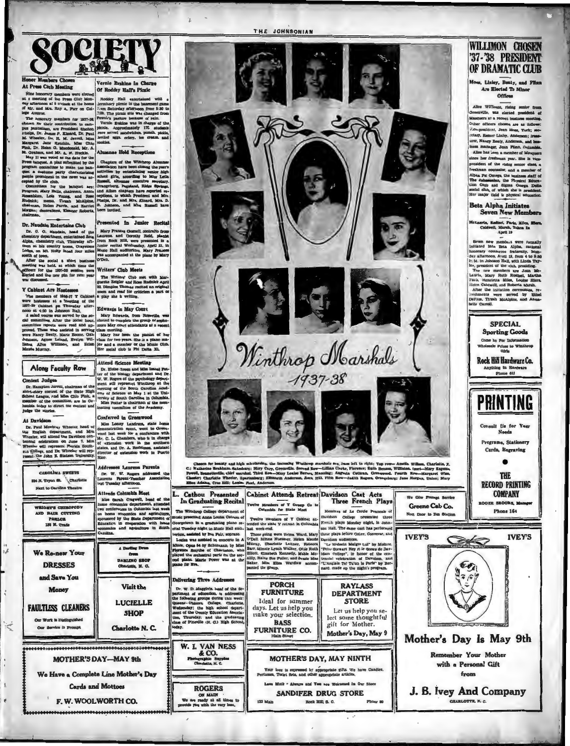

### nor Massiv  $\overline{\mathbf{c}}$ At Press Club Meeting

 $ine<sub>1</sub>$ 

Night in was obtained to the Southern order of the Wintherp Alternation and the distribution of the Wintherp Alternation of the Wintherp Alternation of the Southern consisted by the control of the southern order or make th **Rudnick:** 

Dr. Naudain Entertains Club

Y Cabinet Are Hostessee

### Presented In Junior Recita

Dr. Neudala Endertadea Cub a Mary Prances Gornit, contrato from a cuator in the control from the characteristic distance of the algorithm of the control of the single control of the single particle of the single particle

The Writers' Club met with Mar<br>guerito Zeigler and Rose Rudnick Apri<br>22. Dimpios Thomas vedicat an origina<br>20 com and read for criticism a part of<br>a play she is writing.

Y Cabinsti Are Hosteneon (and the poem and read for criticism a part of the written is calculated to the term in the set of the set of the set of the set of the set of the set of the set of the set of the set of the set o

# Attend Science Meeting

**Contest Judges** Dr. Hampton Jarrell, ch

**Along Faculty Row** 

CAROLINA SWEET

204 N. Tryon OL \Chart

Next to Carolina Theatr

AND HALE CUTTING

We Re-new Your

**DRESSES** and Save You

Money

**FAULTLESS CLEANERS** 

Our Service is Promp

Our Work is Disth

ੇਂਟ

PART 188 W. Trad

A Darling Dram

Visit the

**LUCIELLE** 

**SHOP** 

**Charlotte N.C** 

Delivering Three Addr

Dr. W. D. Maggin's, head of the double that a siderest<br>nice the following groups during this week Queens - Cheore collours, Charlotter<br>Wester-School doperties of the Content of the Ooutley areas of the<br>Content of the Count

W. I. VAN NESS & CO.<br>Seingraphic Sup

**ROGERS** 

ON MAIN

 $\overline{a}$ <u>unta</u>no 52101<br>hariotte, N. C

Along Faculty Row  $\begin{array}{|l|l|}\n\hline\n\textbf{Along Feauky Row} & \textbf{Row Bclens M\'emel 800} \\
\hline\n\textbf{In. Eudens A M\'emel 800} & \textbf{For of the Noidary department and Dr.\\ \nIn. R. M. R. A. A. B. A. B. A. B. A. B. A. B. B. A. B. B. A. B. B. A. B. B. A. B. B. A. B. B. B. C. B. A. B. B. C. B. A. B. B. C. B. A. B. B. C. A. B. B. C. A. B. B. C. A. B$ 

Conferred in Greenwood At Davidson Countertainty and an area of the boxing of the contraction agent, went to Greenwidth of the scale went for a content of the scale of the scale of the scale of the scale of the scale of the scale of the scale of the scale The English department, and of the English department, and Mr. The Responsion of the Davidson central technique of the Davidson central technique and Dr. Virtual Southern with the Southern state of the state of the state o

Addre



**PORCH** 

**FURNITURE** 

days. Let us help you

make your selection

**BASS** 

**FURNITURE CO.** 

122 Ma

Ideal for summer

**RAYLASS** 

**DEPARTMENT** 

**STORE** 

lect some thoughtful

Mother's Day, May 9

gift for Mother

**MOTHER'S DAY, MAY NINTH** 

Love Moth - Always and You are Welcomed in Our Sto

SANDIFER DRUG STORE

Rock Hill, S. C

Your love is expressed by appropriate gifts. We have Candles<br>crimmes, Toilet Sets, and other appropriate articles.

Let us help you se

## WILLIMON CHOSEN **37-38 PRESIDENT** OF DRAMATIC CLUB

Moss, Linley, Benty, and Plinn<br>Are Elected To Minor

### **Offices**

Alte Willman, rising senior from<br>Greenville, was elected president of<br>Masquers at a recent business meeting. Other officers chosen are as follows<br>Concerned the annual state of the second start of the second start of the second starts. coury, nomer Luney, American is reasonally measured in the line of the measured in the annual measured of Manquers<br>inces manager, Jean Plian, Columbia.<br>Alice has Leen a member of Manquers.<br>since her freshman year. She is v since her freshman year. She is vice<br>president of the rising senior chee, Norma on the raing senior chase, a moment of the matter of a moment of the Physical Education of Physical Education of the Physical Education of Subsequent Delta a Cross and Sigma Compa Delta (and in the late of the late o

### Beta Alpha Initiates **Seven New Members**

urin, Hestisci, Fariz, Miles, M<br>Caldwell, Marah, Taken In

Seven new members were formally<br>initiated into Beta Alpha, national honorary commerce fraterialy. Mon-<br>day afternoon, Austi 19, from 4 to 8:30<br>2: M. In Johnson Hall, with Linda Tay-

> **SPECIAL Sporting Goods** Come in Por Info ale Prices to Winth<br>Girls

Rock Hill Hardware Co.

Anything in Har<br>Phone 612

**PRINTING** nsult Us for Your<br>Needs **Programs, Stationery** Carda, Engraving

 $\bullet$ **THE RECORD PRINTING COMPANY** 

**ER BROOKS** 

Phone 16 **IVEY'S** 



Remember Your Mothe with a Personal Gift from

J. B. Ivey And Company

CHARLOTTE, N. C.

We Have a Complete Line Mother's Day **Cards** and Mottoes

**MOTHER'S DAY-MAY 9th** 

F. W. WOOLWORTH CO.

THE JOHNSONIAN